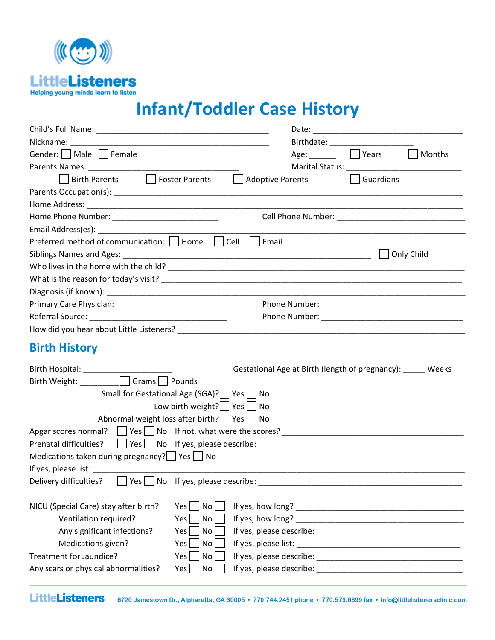

# **Infant/Toddler Case History**

| Gender:     Male     Female                                                               | Age: Nears<br>Months                                                                                                                                                                                                           |
|-------------------------------------------------------------------------------------------|--------------------------------------------------------------------------------------------------------------------------------------------------------------------------------------------------------------------------------|
|                                                                                           | Marital Status: National Marital Status:                                                                                                                                                                                       |
| Birth Parents <b>Foster Parents</b>                                                       | Adoptive Parents<br>Guardians                                                                                                                                                                                                  |
|                                                                                           |                                                                                                                                                                                                                                |
|                                                                                           |                                                                                                                                                                                                                                |
| Home Phone Number: ______________________________                                         | Cell Phone Number: The Contract of the Contract of the Contract of the Contract of the Contract of the Contract of the Contract of the Contract of the Contract of the Contract of the Contract of the Contract of the Contrac |
|                                                                                           |                                                                                                                                                                                                                                |
| Cell<br>Preferred method of communication:     Home                                       | Email                                                                                                                                                                                                                          |
|                                                                                           | Only Child                                                                                                                                                                                                                     |
|                                                                                           |                                                                                                                                                                                                                                |
|                                                                                           |                                                                                                                                                                                                                                |
|                                                                                           |                                                                                                                                                                                                                                |
|                                                                                           |                                                                                                                                                                                                                                |
|                                                                                           |                                                                                                                                                                                                                                |
| How did you hear about Little Listeners?                                                  |                                                                                                                                                                                                                                |
| <b>Birth History</b>                                                                      |                                                                                                                                                                                                                                |
| Birth Hospital: ______________                                                            | Gestational Age at Birth (length of pregnancy): _____ Weeks                                                                                                                                                                    |
| Birth Weight: ___________ Grams D Pounds                                                  |                                                                                                                                                                                                                                |
| Small for Gestational Age (SGA)?   Yes   No                                               |                                                                                                                                                                                                                                |
| Low birth weight? $\vert \vert$ Yes $\vert \vert$ No                                      |                                                                                                                                                                                                                                |
| Abnormal weight loss after birth?   Yes   No                                              |                                                                                                                                                                                                                                |
| Apgar scores normal? Yes No If not, what were the scores? _______________________         |                                                                                                                                                                                                                                |
| Prenatal difficulties?                                                                    |                                                                                                                                                                                                                                |
| Medications taken during pregnancy? $\Box$ Yes $\Box$ No                                  |                                                                                                                                                                                                                                |
| If yes, please list:                                                                      |                                                                                                                                                                                                                                |
| Delivery difficulties?<br>Yes $\Box$ No If yes, please describe:                          |                                                                                                                                                                                                                                |
|                                                                                           |                                                                                                                                                                                                                                |
|                                                                                           |                                                                                                                                                                                                                                |
| NICU (Special Care) stay after birth?<br>Yes<br>No <sub>1</sub>                           |                                                                                                                                                                                                                                |
| Ventilation required?<br>Yes<br>No                                                        |                                                                                                                                                                                                                                |
| Any significant infections?<br>Yes<br>No                                                  |                                                                                                                                                                                                                                |
| Medications given?<br>Yes<br>No                                                           |                                                                                                                                                                                                                                |
| Treatment for Jaundice?<br>Yes<br>No<br>Any scars or physical abnormalities?<br>No<br>Yes | If yes, please describe: National Contract of the state of the state of the state of the state of the state of                                                                                                                 |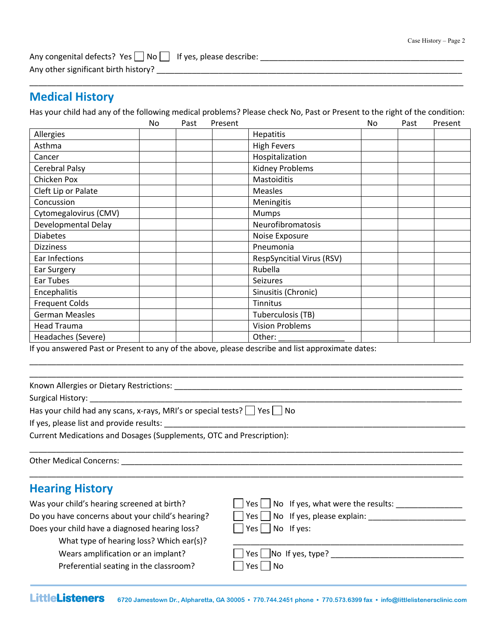| Any congenital defects? Yes No I If yes, please describe: |  |
|-----------------------------------------------------------|--|
| Any other significant birth history?                      |  |

### **Medical History**

Has your child had any of the following medical problems? Please check No, Past or Present to the right of the condition:

\_\_\_\_\_\_\_\_\_\_\_\_\_\_\_\_\_\_\_\_\_\_\_\_\_\_\_\_\_\_\_\_\_\_\_\_\_\_\_\_\_\_\_\_\_\_\_\_\_\_\_\_\_\_\_\_\_\_\_\_\_\_\_\_\_\_\_\_\_\_\_\_\_\_\_\_\_\_\_\_\_\_\_\_\_\_\_\_\_\_\_\_\_\_\_\_\_\_

 $\overbrace{\phantom{xx}}^{x}$ 

|                       | No | Past | Present |                                  | No | Past | Present |
|-----------------------|----|------|---------|----------------------------------|----|------|---------|
| Allergies             |    |      |         | <b>Hepatitis</b>                 |    |      |         |
| Asthma                |    |      |         | <b>High Fevers</b>               |    |      |         |
| Cancer                |    |      |         | Hospitalization                  |    |      |         |
| Cerebral Palsy        |    |      |         | <b>Kidney Problems</b>           |    |      |         |
| Chicken Pox           |    |      |         | <b>Mastoiditis</b>               |    |      |         |
| Cleft Lip or Palate   |    |      |         | <b>Measles</b>                   |    |      |         |
| Concussion            |    |      |         | Meningitis                       |    |      |         |
| Cytomegalovirus (CMV) |    |      |         | Mumps                            |    |      |         |
| Developmental Delay   |    |      |         | Neurofibromatosis                |    |      |         |
| <b>Diabetes</b>       |    |      |         | Noise Exposure                   |    |      |         |
| <b>Dizziness</b>      |    |      |         | Pneumonia                        |    |      |         |
| Ear Infections        |    |      |         | <b>RespSyncitial Virus (RSV)</b> |    |      |         |
| Ear Surgery           |    |      |         | Rubella                          |    |      |         |
| Ear Tubes             |    |      |         | <b>Seizures</b>                  |    |      |         |
| Encephalitis          |    |      |         | Sinusitis (Chronic)              |    |      |         |
| <b>Frequent Colds</b> |    |      |         | Tinnitus                         |    |      |         |
| <b>German Measles</b> |    |      |         | Tuberculosis (TB)                |    |      |         |
| <b>Head Trauma</b>    |    |      |         | <b>Vision Problems</b>           |    |      |         |
| Headaches (Severe)    |    |      |         | Other:                           |    |      |         |

If you answered Past or Present to any of the above, please describe and list approximate dates:

| Known Allergies or Dietary Restrictions: Notified and the control of the control of the control of the control of the control of the control of the control of the control of the control of the control of the control of the |                                               |  |  |  |  |
|--------------------------------------------------------------------------------------------------------------------------------------------------------------------------------------------------------------------------------|-----------------------------------------------|--|--|--|--|
|                                                                                                                                                                                                                                |                                               |  |  |  |  |
| Has your child had any scans, x-rays, MRI's or special tests? $\Box$ Yes $\Box$ No                                                                                                                                             |                                               |  |  |  |  |
| If yes, please list and provide results:                                                                                                                                                                                       |                                               |  |  |  |  |
| Current Medications and Dosages (Supplements, OTC and Prescription):                                                                                                                                                           |                                               |  |  |  |  |
|                                                                                                                                                                                                                                |                                               |  |  |  |  |
| <b>Hearing History</b>                                                                                                                                                                                                         |                                               |  |  |  |  |
| Was your child's hearing screened at birth?                                                                                                                                                                                    | $Yes \perp No$ If yes, what were the results: |  |  |  |  |
| Do you have concerns about your child's hearing?                                                                                                                                                                               | $Yes \mid No$ If yes, please explain:         |  |  |  |  |
| Does your child have a diagnosed hearing loss?                                                                                                                                                                                 | Yes $\Box$ No If yes:                         |  |  |  |  |
| What type of hearing loss? Which ear(s)?                                                                                                                                                                                       |                                               |  |  |  |  |
| Wears amplification or an implant?                                                                                                                                                                                             | $Yes \mid$ No If yes, type?                   |  |  |  |  |
| Preferential seating in the classroom?                                                                                                                                                                                         | No<br>Yes l                                   |  |  |  |  |

\_\_\_\_\_\_\_\_\_\_\_\_\_\_\_\_\_\_\_\_\_\_\_\_\_\_\_\_\_\_\_\_\_\_\_\_\_\_\_\_\_\_\_\_\_\_\_\_\_\_\_\_\_\_\_\_\_\_\_\_\_\_\_\_\_\_\_\_\_\_\_\_\_\_\_\_\_\_\_\_\_\_\_\_\_\_\_\_\_\_\_\_\_\_\_\_\_\_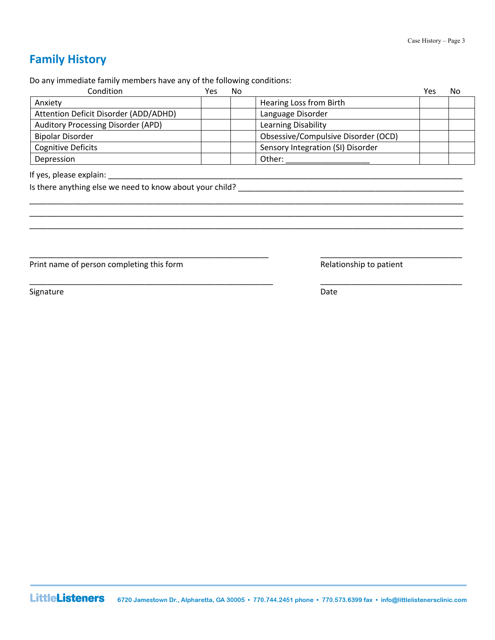## **Family History**

Do any immediate family members have any of the following conditions:

| Condition                             | Yes | No |                                     | Yes | No |
|---------------------------------------|-----|----|-------------------------------------|-----|----|
| Anxiety                               |     |    | Hearing Loss from Birth             |     |    |
| Attention Deficit Disorder (ADD/ADHD) |     |    | Language Disorder                   |     |    |
| Auditory Processing Disorder (APD)    |     |    | Learning Disability                 |     |    |
| <b>Bipolar Disorder</b>               |     |    | Obsessive/Compulsive Disorder (OCD) |     |    |
| <b>Cognitive Deficits</b>             |     |    | Sensory Integration (SI) Disorder   |     |    |
| Depression                            |     |    | Other:                              |     |    |

\_\_\_\_\_\_\_\_\_\_\_\_\_\_\_\_\_\_\_\_\_\_\_\_\_\_\_\_\_\_\_\_\_\_\_\_\_\_\_\_\_\_\_\_\_\_\_\_\_\_\_\_\_\_\_\_\_\_\_\_\_\_\_\_\_\_\_\_\_\_\_\_\_\_\_\_\_\_\_\_\_\_\_\_\_\_\_\_\_\_\_\_\_\_\_\_\_\_ \_\_\_\_\_\_\_\_\_\_\_\_\_\_\_\_\_\_\_\_\_\_\_\_\_\_\_\_\_\_\_\_\_\_\_\_\_\_\_\_\_\_\_\_\_\_\_\_\_\_\_\_\_\_\_\_\_\_\_\_\_\_\_\_\_\_\_\_\_\_\_\_\_\_\_\_\_\_\_\_\_\_\_\_\_\_\_\_\_\_\_\_\_\_\_\_\_\_ \_\_\_\_\_\_\_\_\_\_\_\_\_\_\_\_\_\_\_\_\_\_\_\_\_\_\_\_\_\_\_\_\_\_\_\_\_\_\_\_\_\_\_\_\_\_\_\_\_\_\_\_\_\_\_\_\_\_\_\_\_\_\_\_\_\_\_\_\_\_\_\_\_\_\_\_\_\_\_\_\_\_\_\_\_\_\_\_\_\_\_\_\_\_\_\_\_\_

\_\_\_\_\_\_\_\_\_\_\_\_\_\_\_\_\_\_\_\_\_\_\_\_\_\_\_\_\_\_\_\_\_\_\_\_\_\_\_\_\_\_\_\_\_\_\_\_\_\_\_\_\_\_ \_\_\_\_\_\_\_\_\_\_\_\_\_\_\_\_\_\_\_\_\_\_\_\_\_\_\_\_\_\_\_\_

\_\_\_\_\_\_\_\_\_\_\_\_\_\_\_\_\_\_\_\_\_\_\_\_\_\_\_\_\_\_\_\_\_\_\_\_\_\_\_\_\_\_\_\_\_\_\_\_\_\_\_\_\_\_\_ \_\_\_\_\_\_\_\_\_\_\_\_\_\_\_\_\_\_\_\_\_\_\_\_\_\_\_\_\_\_\_\_

Is there anything else we need to know about your child? \_\_\_\_\_\_\_\_\_\_\_\_\_\_\_\_\_\_\_\_\_\_\_\_\_\_\_\_\_\_\_\_\_\_\_\_\_\_\_\_\_\_\_\_\_\_\_\_\_\_\_

Print name of person completing this form **Relationship to patient** Relationship to patient

Signature Date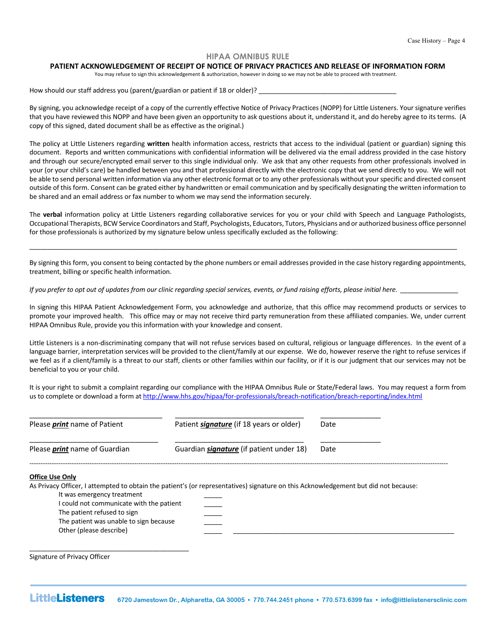#### **HIPAA OMNIBUS RULE**

#### **PATIENT ACKNOWLEDGEMENT OF RECEIPT OF NOTICE OF PRIVACY PRACTICES AND RELEASE OF INFORMATION FORM**

You may refuse to sign this acknowledgement & authorization, however in doing so we may not be able to proceed with treatment.

How should our staff address you (parent/guardian or patient if 18 or older)? \_\_

By signing, you acknowledge receipt of a copy of the currently effective Notice of Privacy Practices (NOPP) for Little Listeners. Your signature verifies that you have reviewed this NOPP and have been given an opportunity to ask questions about it, understand it, and do hereby agree to its terms. (A copy of this signed, dated document shall be as effective as the original.)

The policy at Little Listeners regarding **written** health information access, restricts that access to the individual (patient or guardian) signing this document. Reports and written communications with confidential information will be delivered via the email address provided in the case history and through our secure/encrypted email server to this single individual only. We ask that any other requests from other professionals involved in your (or your child's care) be handled between you and that professional directly with the electronic copy that we send directly to you. We will not be able to send personal written information via any other electronic format or to any other professionals without your specific and directed consent outside of this form. Consent can be grated either by handwritten or email communication and by specifically designating the written information to be shared and an email address or fax number to whom we may send the information securely.

The **verbal** information policy at Little Listeners regarding collaborative services for you or your child with Speech and Language Pathologists, Occupational Therapists, BCW Service Coordinators and Staff, Psychologists, Educators, Tutors, Physicians and or authorized business office personnel for those professionals is authorized by my signature below unless specifically excluded as the following:

By signing this form, you consent to being contacted by the phone numbers or email addresses provided in the case history regarding appointments, treatment, billing or specific health information.

\_\_\_\_\_\_\_\_\_\_\_\_\_\_\_\_\_\_\_\_\_\_\_\_\_\_\_\_\_\_\_\_\_\_\_\_\_\_\_\_\_\_\_\_\_\_\_\_\_\_\_\_\_\_\_\_\_\_\_\_\_\_\_\_\_\_\_\_\_\_\_\_\_\_\_\_\_\_\_\_\_\_\_\_\_\_\_\_\_\_\_\_\_\_\_\_\_\_\_\_\_\_\_\_\_\_\_\_\_\_\_\_\_\_\_\_\_\_

*If you prefer to opt out of updates from our clinic regarding special services, events, or fund raising efforts, please initial here.* 

In signing this HIPAA Patient Acknowledgement Form, you acknowledge and authorize, that this office may recommend products or services to promote your improved health. This office may or may not receive third party remuneration from these affiliated companies. We, under current HIPAA Omnibus Rule, provide you this information with your knowledge and consent.

Little Listeners is a non-discriminating company that will not refuse services based on cultural, religious or language differences. In the event of a language barrier, interpretation services will be provided to the client/family at our expense. We do, however reserve the right to refuse services if we feel as if a client/family is a threat to our staff, clients or other families within our facility, or if it is our judgment that our services may not be beneficial to you or your child.

It is your right to submit a complaint regarding our compliance with the HIPAA Omnibus Rule or State/Federal laws. You may request a form from us to complete or download a form at http://www.hhs.gov/hipaa/for-professionals/breach-notification/breach-reporting/index.html

| Please <i>print</i> name of Patient  | Patient <i>signature</i> (if 18 years or older) | Date |
|--------------------------------------|-------------------------------------------------|------|
| Please <i>print</i> name of Guardian | Guardian <i>signature</i> (if patient under 18) | Date |
| <b>Office Use Only</b>               |                                                 |      |

As Privacy Officer, I attempted to obtain the patient's (or representatives) signature on this Acknowledgement but did not because:

It was emergency treatment I could not communicate with the patient The patient refused to sign The patient was unable to sign because

Signature of Privacy Officer

Other (please describe)

\_\_\_\_\_\_\_\_\_\_\_\_\_\_\_\_\_\_\_\_\_\_\_\_\_\_\_\_\_\_\_\_\_\_\_\_\_\_\_\_\_\_\_\_